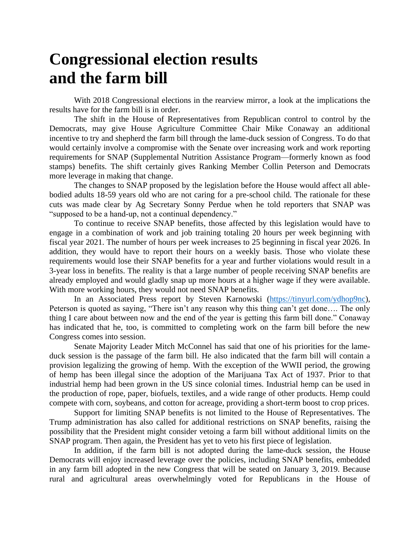## **Congressional election results and the farm bill**

With 2018 Congressional elections in the rearview mirror, a look at the implications the results have for the farm bill is in order.

The shift in the House of Representatives from Republican control to control by the Democrats, may give House Agriculture Committee Chair Mike Conaway an additional incentive to try and shepherd the farm bill through the lame-duck session of Congress. To do that would certainly involve a compromise with the Senate over increasing work and work reporting requirements for SNAP (Supplemental Nutrition Assistance Program—formerly known as food stamps) benefits. The shift certainly gives Ranking Member Collin Peterson and Democrats more leverage in making that change.

The changes to SNAP proposed by the legislation before the House would affect all ablebodied adults 18-59 years old who are not caring for a pre-school child. The rationale for these cuts was made clear by Ag Secretary Sonny Perdue when he told reporters that SNAP was "supposed to be a hand-up, not a continual dependency."

To continue to receive SNAP benefits, those affected by this legislation would have to engage in a combination of work and job training totaling 20 hours per week beginning with fiscal year 2021. The number of hours per week increases to 25 beginning in fiscal year 2026. In addition, they would have to report their hours on a weekly basis. Those who violate these requirements would lose their SNAP benefits for a year and further violations would result in a 3-year loss in benefits. The reality is that a large number of people receiving SNAP benefits are already employed and would gladly snap up more hours at a higher wage if they were available. With more working hours, they would not need SNAP benefits.

In an Associated Press report by Steven Karnowski [\(https://tinyurl.com/ydhop9nc\)](https://tinyurl.com/ydhop9nc), Peterson is quoted as saying, "There isn't any reason why this thing can't get done…. The only thing I care about between now and the end of the year is getting this farm bill done." Conaway has indicated that he, too, is committed to completing work on the farm bill before the new Congress comes into session.

Senate Majority Leader Mitch McConnel has said that one of his priorities for the lameduck session is the passage of the farm bill. He also indicated that the farm bill will contain a provision legalizing the growing of hemp. With the exception of the WWII period, the growing of hemp has been illegal since the adoption of the Marijuana Tax Act of 1937. Prior to that industrial hemp had been grown in the US since colonial times. Industrial hemp can be used in the production of rope, paper, biofuels, textiles, and a wide range of other products. Hemp could compete with corn, soybeans, and cotton for acreage, providing a short-term boost to crop prices.

Support for limiting SNAP benefits is not limited to the House of Representatives. The Trump administration has also called for additional restrictions on SNAP benefits, raising the possibility that the President might consider vetoing a farm bill without additional limits on the SNAP program. Then again, the President has yet to veto his first piece of legislation.

In addition, if the farm bill is not adopted during the lame-duck session, the House Democrats will enjoy increased leverage over the policies, including SNAP benefits, embedded in any farm bill adopted in the new Congress that will be seated on January 3, 2019. Because rural and agricultural areas overwhelmingly voted for Republicans in the House of